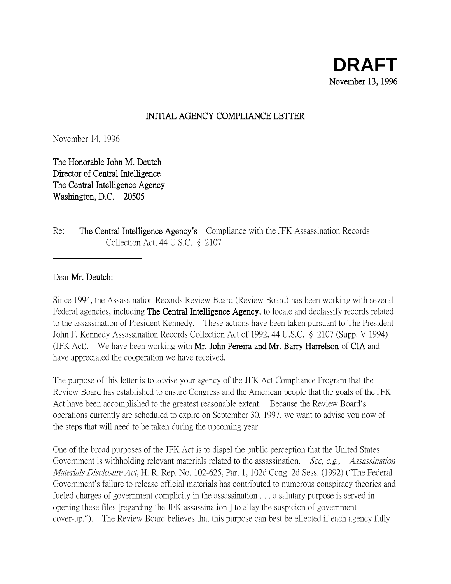## INITIAL AGENCY COMPLIANCE LETTER

November 14, 1996

The Honorable John M. Deutch Director of Central Intelligence The Central Intelligence Agency Washington, D.C. 20505

Re: The Central Intelligence Agency**'**s Compliance with the JFK Assassination Records Collection Act, 44 U.S.C. § 2107

Dear Mr. Deutch:

Since 1994, the Assassination Records Review Board (Review Board) has been working with several Federal agencies, including **The Central Intelligence Agency**, to locate and declassify records related to the assassination of President Kennedy. These actions have been taken pursuant to The President John F. Kennedy Assassination Records Collection Act of 1992, 44 U.S.C. § 2107 (Supp. V 1994) (JFK Act). We have been working with Mr. John Pereira and Mr. Barry Harrelson of CIA and have appreciated the cooperation we have received.

The purpose of this letter is to advise your agency of the JFK Act Compliance Program that the Review Board has established to ensure Congress and the American people that the goals of the JFK Act have been accomplished to the greatest reasonable extent. Because the Review Board's operations currently are scheduled to expire on September 30, 1997, we want to advise you now of the steps that will need to be taken during the upcoming year.

One of the broad purposes of the JFK Act is to dispel the public perception that the United States Government is withholding relevant materials related to the assassination. *See, e.g., Assassination* Materials Disclosure Act, H. R. Rep. No. 102-625, Part 1, 102d Cong. 2d Sess. (1992) ("The Federal Government's failure to release official materials has contributed to numerous conspiracy theories and fueled charges of government complicity in the assassination . . . a salutary purpose is served in opening these files [regarding the JFK assassination ] to allay the suspicion of government cover-up."). The Review Board believes that this purpose can best be effected if each agency fully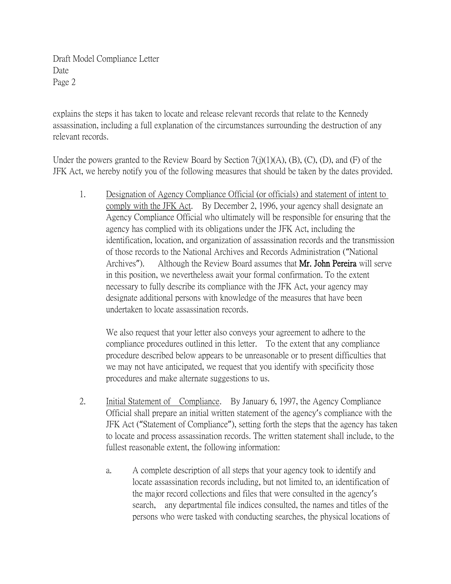explains the steps it has taken to locate and release relevant records that relate to the Kennedy assassination, including a full explanation of the circumstances surrounding the destruction of any relevant records.

Under the powers granted to the Review Board by Section  $7(j)(1)(A)$ ,  $(B)$ ,  $(C)$ ,  $(D)$ , and  $(F)$  of the JFK Act, we hereby notify you of the following measures that should be taken by the dates provided.

1. Designation of Agency Compliance Official (or officials) and statement of intent to comply with the JFK Act. By December 2, 1996, your agency shall designate an Agency Compliance Official who ultimately will be responsible for ensuring that the agency has complied with its obligations under the JFK Act, including the identification, location, and organization of assassination records and the transmission of those records to the National Archives and Records Administration ("National Archives"). Although the Review Board assumes that **Mr. John Pereira** will serve in this position, we nevertheless await your formal confirmation. To the extent necessary to fully describe its compliance with the JFK Act, your agency may designate additional persons with knowledge of the measures that have been undertaken to locate assassination records.

We also request that your letter also conveys your agreement to adhere to the compliance procedures outlined in this letter. To the extent that any compliance procedure described below appears to be unreasonable or to present difficulties that we may not have anticipated, we request that you identify with specificity those procedures and make alternate suggestions to us.

- 2. Initial Statement of Compliance. By January 6, 1997, the Agency Compliance Official shall prepare an initial written statement of the agency's compliance with the JFK Act ("Statement of Compliance"), setting forth the steps that the agency has taken to locate and process assassination records. The written statement shall include, to the fullest reasonable extent, the following information:
	- a. A complete description of all steps that your agency took to identify and locate assassination records including, but not limited to, an identification of the major record collections and files that were consulted in the agency's search, any departmental file indices consulted, the names and titles of the persons who were tasked with conducting searches, the physical locations of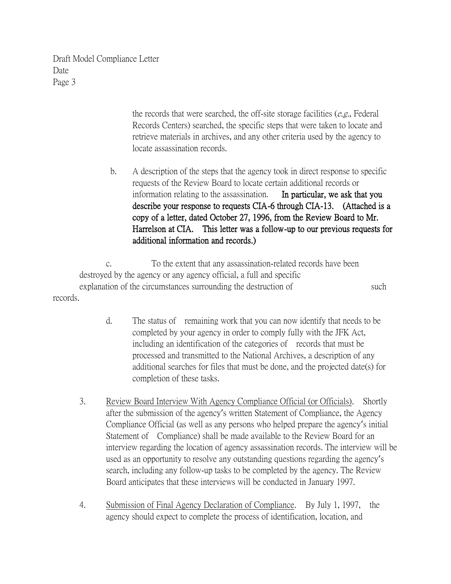> the records that were searched, the off-site storage facilities  $(e.g.,$  Federal Records Centers) searched, the specific steps that were taken to locate and retrieve materials in archives, and any other criteria used by the agency to locate assassination records.

b. A description of the steps that the agency took in direct response to specific requests of the Review Board to locate certain additional records or information relating to the assassination. In particular, we ask that you describe your response to requests CIA-6 through CIA-13. (Attached is a copy of a letter, dated October 27, 1996, from the Review Board to Mr. Harrelson at CIA. This letter was a follow-up to our previous requests for additional information and records.)

c. To the extent that any assassination-related records have been destroyed by the agency or any agency official, a full and specific explanation of the circumstances surrounding the destruction of such such records.

- d. The status of remaining work that you can now identify that needs to be completed by your agency in order to comply fully with the JFK Act, including an identification of the categories of records that must be processed and transmitted to the National Archives, a description of any additional searches for files that must be done, and the projected date(s) for completion of these tasks.
- 3. Review Board Interview With Agency Compliance Official (or Officials). Shortly after the submission of the agency's written Statement of Compliance, the Agency Compliance Official (as well as any persons who helped prepare the agency's initial Statement of Compliance) shall be made available to the Review Board for an interview regarding the location of agency assassination records. The interview will be used as an opportunity to resolve any outstanding questions regarding the agency's search, including any follow-up tasks to be completed by the agency. The Review Board anticipates that these interviews will be conducted in January 1997.
- 4. Submission of Final Agency Declaration of Compliance. By July 1, 1997, the agency should expect to complete the process of identification, location, and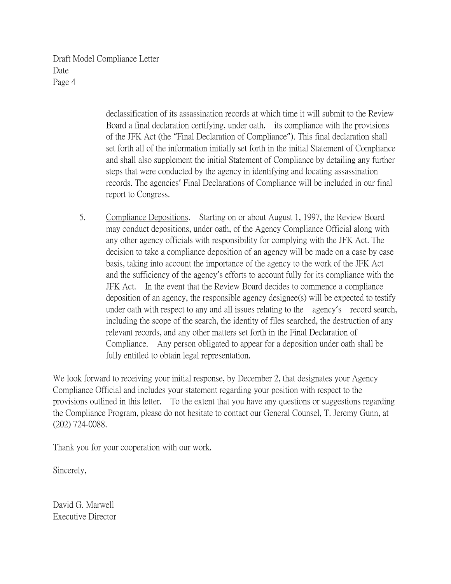> declassification of its assassination records at which time it will submit to the Review Board a final declaration certifying, under oath, its compliance with the provisions of the JFK Act (the "Final Declaration of Compliance"). This final declaration shall set forth all of the information initially set forth in the initial Statement of Compliance and shall also supplement the initial Statement of Compliance by detailing any further steps that were conducted by the agency in identifying and locating assassination records. The agencies' Final Declarations of Compliance will be included in our final report to Congress.

5. Compliance Depositions. Starting on or about August 1, 1997, the Review Board may conduct depositions, under oath, of the Agency Compliance Official along with any other agency officials with responsibility for complying with the JFK Act. The decision to take a compliance deposition of an agency will be made on a case by case basis, taking into account the importance of the agency to the work of the JFK Act and the sufficiency of the agency's efforts to account fully for its compliance with the JFK Act. In the event that the Review Board decides to commence a compliance deposition of an agency, the responsible agency designee(s) will be expected to testify under oath with respect to any and all issues relating to the agency's record search, including the scope of the search, the identity of files searched, the destruction of any relevant records, and any other matters set forth in the Final Declaration of Compliance. Any person obligated to appear for a deposition under oath shall be fully entitled to obtain legal representation.

We look forward to receiving your initial response, by December 2, that designates your Agency Compliance Official and includes your statement regarding your position with respect to the provisions outlined in this letter. To the extent that you have any questions or suggestions regarding the Compliance Program, please do not hesitate to contact our General Counsel, T. Jeremy Gunn, at (202) 724-0088.

Thank you for your cooperation with our work.

Sincerely,

David G. Marwell Executive Director